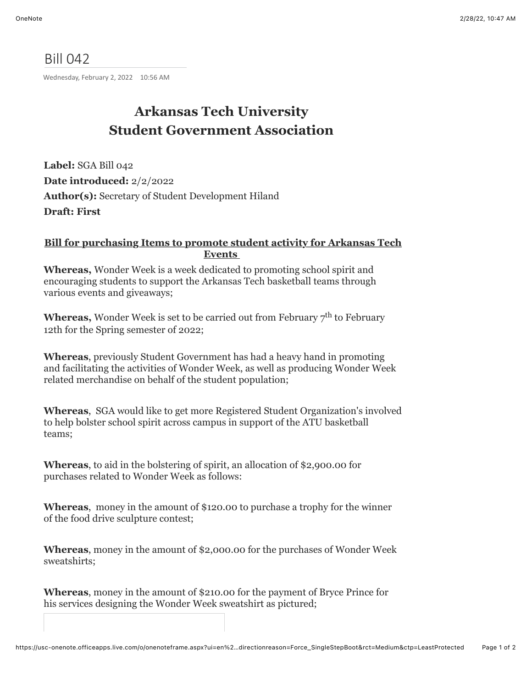## Bill 042

Wednesday, February 2, 2022 10:56 AM

## **Arkansas Tech University Student Government Association**

**Label:** SGA Bill 042 **Date introduced:** 2/2/2022 **Author(s):** Secretary of Student Development Hiland **Draft: First**

## **Bill for purchasing Items to promote student activity for Arkansas Tech Events**

**Whereas,** Wonder Week is a week dedicated to promoting school spirit and encouraging students to support the Arkansas Tech basketball teams through various events and giveaways;

**Whereas,** Wonder Week is set to be carried out from February  $7<sup>th</sup>$  to February 12th for the Spring semester of 2022;

**Whereas**, previously Student Government has had a heavy hand in promoting and facilitating the activities of Wonder Week, as well as producing Wonder Week related merchandise on behalf of the student population;

**Whereas**, SGA would like to get more Registered Student Organization's involved to help bolster school spirit across campus in support of the ATU basketball teams;

**Whereas**, to aid in the bolstering of spirit, an allocation of \$2,900.00 for purchases related to Wonder Week as follows:

**Whereas**, money in the amount of \$120.00 to purchase a trophy for the winner of the food drive sculpture contest;

**Whereas**, money in the amount of \$2,000.00 for the purchases of Wonder Week sweatshirts;

**Whereas**, money in the amount of \$210.00 for the payment of Bryce Prince for his services designing the Wonder Week sweatshirt as pictured;